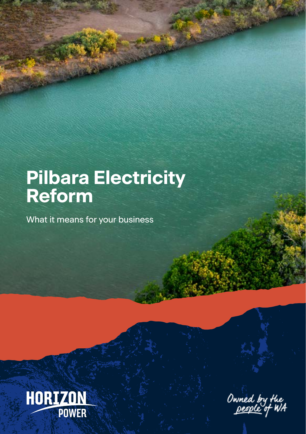# **Pilbara Electricity Reform**

What it means for your business



Owned by the<br><u>people</u> of WA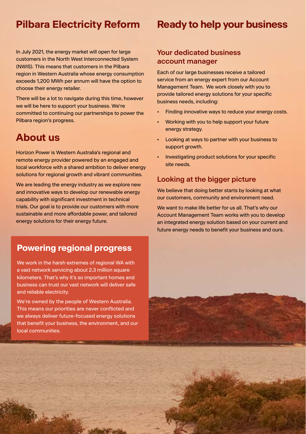## **Pilbara Electricity Reform**

In July 2021, the energy market will open for large customers in the North West Interconnected System (NWIS). This means that customers in the Pilbara region in Western Australia whose energy consumption exceeds 1,200 MWh per annum will have the option to choose their energy retailer.

There will be a lot to navigate during this time, however we will be here to support your business. We're committed to continuing our partnerships to power the Pilbara region's progress.

## **About us**

Horizon Power is Western Australia's regional and remote energy provider powered by an engaged and local workforce with a shared ambition to deliver energy solutions for regional growth and vibrant communities.

We are leading the energy industry as we explore new and innovative ways to develop our renewable energy capability with significant investment in technical trials. Our goal is to provide our customers with more sustainable and more affordable power, and tailored energy solutions for their energy future.

### **Powering regional progress**

We work in the harsh extremes of regional WA with a vast network servicing about 2.3 million square kilometers. That's why it's so important homes and business can trust our vast network will deliver safe and reliable electricity.

We're owned by the people of Western Australia. This means our priorities are never conflicted and we always deliver future-focused energy solutions that benefit your business, the environment, and our local communities.

2 Jan New St

## **Ready to help your business**

#### **Your dedicated business account manager**

Each of our large businesses receive a tailored service from an energy expert from our Account Management Team. We work closely with you to provide tailored energy solutions for your specific business needs, including:

- Finding innovative ways to reduce your energy costs.
- Working with you to help support your future energy strategy.
- Looking at ways to partner with your business to support growth.
- Investigating product solutions for your specific site needs.

#### **Looking at the bigger picture**

We believe that doing better starts by looking at what our customers, community and environment need.

We want to make life better for us all. That's why our Account Management Team works with you to develop an integrated energy solution based on your current and future energy needs to benefit your business and ours.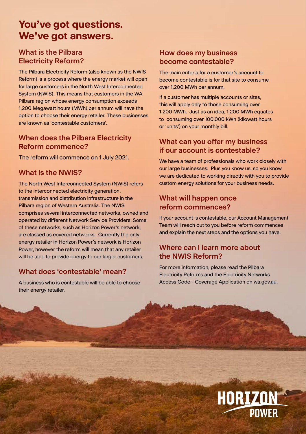## **You've got questions. We've got answers.**

#### **What is the Pilbara Electricity Reform?**

The Pilbara Electricity Reform (also known as the NWIS Reform) is a process where the energy market will open for large customers in the North West Interconnected System (NWIS). This means that customers in the WA Pilbara region whose energy consumption exceeds 1,200 Megawatt hours (MWh) per annum will have the option to choose their energy retailer. These businesses are known as 'contestable customers'.

#### **When does the Pilbara Electricity Reform commence?**

The reform will commence on 1 July 2021.

#### **What is the NWIS?**

The North West Interconnected System (NWIS) refers to the interconnected electricity generation, transmission and distribution infrastructure in the Pilbara region of Western Australia. The NWIS comprises several interconnected networks, owned and operated by different Network Service Providers. Some of these networks, such as Horizon Power's network, are classed as covered networks. Currently the only energy retailer in Horizon Power's network is Horizon Power, however the reform will mean that any retailer will be able to provide energy to our larger customers.

#### **What does 'contestable' mean?**

A business who is contestable will be able to choose their energy retailer.

#### **How does my business become contestable?**

The main criteria for a customer's account to become contestable is for that site to consume over 1,200 MWh per annum.

If a customer has multiple accounts or sites, this will apply only to those consuming over 1,200 MWh. Just as an idea, 1,200 MWh equates to consuming over 100,000 kWh (kilowatt hours or 'units') on your monthly bill.

#### **What can you offer my business if our account is contestable?**

We have a team of professionals who work closely with our large businesses. Plus you know us, so you know we are dedicated to working directly with you to provide custom energy solutions for your business needs.

#### **What will happen once reform commences?**

If your account is contestable, our Account Management Team will reach out to you before reform commences and explain the next steps and the options you have.

#### **Where can I learn more about the NWIS Reform?**

For more information, please read the Pilbara Electricity Reforms and the Electricity Networks Access Code - Coverage Application on wa.gov.au.